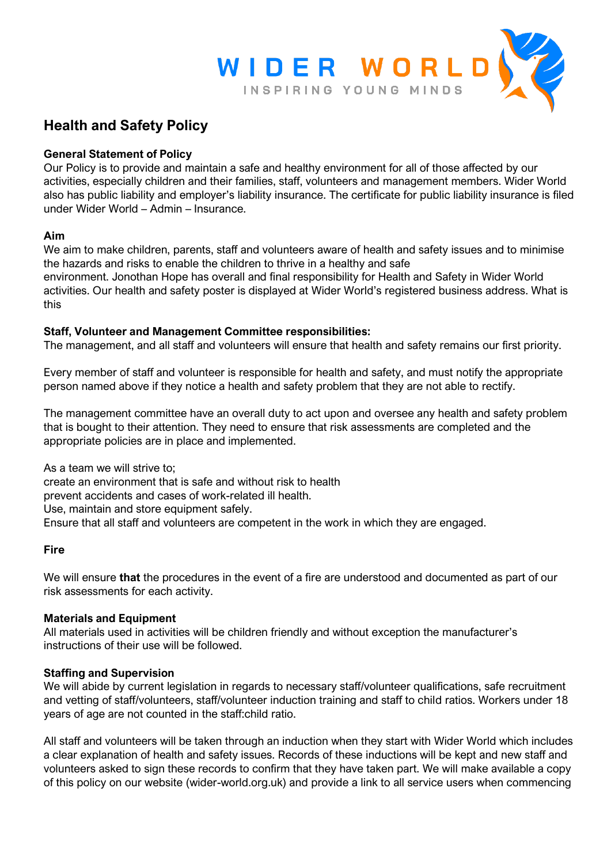

# **Health and Safety Policy**

# **General Statement of Policy**

Our Policy is to provide and maintain a safe and healthy environment for all of those affected by our activities, especially children and their families, staff, volunteers and management members. Wider World also has public liability and employer's liability insurance. The certificate for public liability insurance is filed under Wider World – Admin – Insurance.

### **Aim**

We aim to make children, parents, staff and volunteers aware of health and safety issues and to minimise the hazards and risks to enable the children to thrive in a healthy and safe

environment. Jonothan Hope has overall and final responsibility for Health and Safety in Wider World activities. Our health and safety poster is displayed at Wider World's registered business address. What is this

## **Staff, Volunteer and Management Committee responsibilities:**

The management, and all staff and volunteers will ensure that health and safety remains our first priority.

Every member of staff and volunteer is responsible for health and safety, and must notify the appropriate person named above if they notice a health and safety problem that they are not able to rectify.

The management committee have an overall duty to act upon and oversee any health and safety problem that is bought to their attention. They need to ensure that risk assessments are completed and the appropriate policies are in place and implemented.

As a team we will strive to;

create an environment that is safe and without risk to health

prevent accidents and cases of work-related ill health.

Use, maintain and store equipment safely.

Ensure that all staff and volunteers are competent in the work in which they are engaged.

### **Fire**

We will ensure **that** the procedures in the event of a fire are understood and documented as part of our risk assessments for each activity.

### **Materials and Equipment**

All materials used in activities will be children friendly and without exception the manufacturer's instructions of their use will be followed.

### **Staffing and Supervision**

We will abide by current legislation in regards to necessary staff/volunteer qualifications, safe recruitment and vetting of staff/volunteers, staff/volunteer induction training and staff to child ratios. Workers under 18 years of age are not counted in the staff:child ratio.

All staff and volunteers will be taken through an induction when they start with Wider World which includes a clear explanation of health and safety issues. Records of these inductions will be kept and new staff and volunteers asked to sign these records to confirm that they have taken part. We will make available a copy of this policy on our website (wider-world.org.uk) and provide a link to all service users when commencing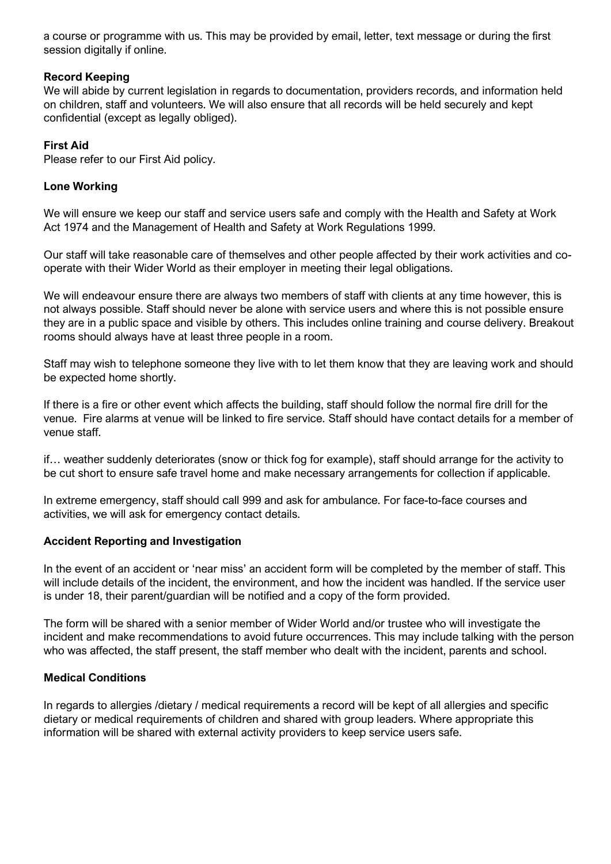a course or programme with us. This may be provided by email, letter, text message or during the first session digitally if online.

## **Record Keeping**

We will abide by current legislation in regards to documentation, providers records, and information held on children, staff and volunteers. We will also ensure that all records will be held securely and kept confidential (except as legally obliged).

## **First Aid**

Please refer to our First Aid policy.

## **Lone Working**

We will ensure we keep our staff and service users safe and comply with the Health and Safety at Work Act 1974 and the Management of Health and Safety at Work Regulations 1999.

Our staff will take reasonable care of themselves and other people affected by their work activities and cooperate with their Wider World as their employer in meeting their legal obligations.

We will endeavour ensure there are always two members of staff with clients at any time however, this is not always possible. Staff should never be alone with service users and where this is not possible ensure they are in a public space and visible by others. This includes online training and course delivery. Breakout rooms should always have at least three people in a room.

Staff may wish to telephone someone they live with to let them know that they are leaving work and should be expected home shortly.

If there is a fire or other event which affects the building, staff should follow the normal fire drill for the venue. Fire alarms at venue will be linked to fire service. Staff should have contact details for a member of venue staff.

if… weather suddenly deteriorates (snow or thick fog for example), staff should arrange for the activity to be cut short to ensure safe travel home and make necessary arrangements for collection if applicable.

In extreme emergency, staff should call 999 and ask for ambulance. For face-to-face courses and activities, we will ask for emergency contact details.

### **Accident Reporting and Investigation**

In the event of an accident or 'near miss' an accident form will be completed by the member of staff. This will include details of the incident, the environment, and how the incident was handled. If the service user is under 18, their parent/guardian will be notified and a copy of the form provided.

The form will be shared with a senior member of Wider World and/or trustee who will investigate the incident and make recommendations to avoid future occurrences. This may include talking with the person who was affected, the staff present, the staff member who dealt with the incident, parents and school.

# **Medical Conditions**

In regards to allergies /dietary / medical requirements a record will be kept of all allergies and specific dietary or medical requirements of children and shared with group leaders. Where appropriate this information will be shared with external activity providers to keep service users safe.